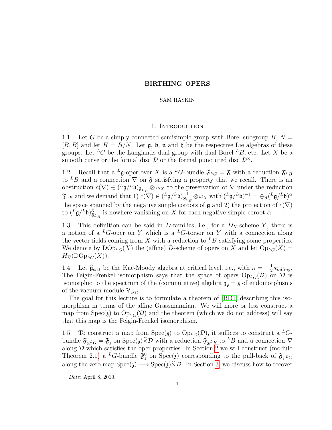# SAM RASKIN

# 1. INTRODUCTION

1.1. Let G be a simply connected semisimple group with Borel subgroup B,  $N =$  $[B, B]$  and let  $H = B/N$ . Let  $\mathfrak{g}$ ,  $\mathfrak{b}$ ,  $\mathfrak{n}$  and  $\mathfrak{h}$  be the respective Lie algebras of these groups. Let <sup>L</sup>G be the Langlands dual group with dual Borel <sup>L</sup>B, etc. Let X be a smooth curve or the formal disc  $\mathcal{D}$  or the formal punctured disc  $\mathcal{D}^{\times}$ .

<span id="page-0-0"></span>1.2. Recall that a <sup>L</sup>g-oper over X is a <sup>L</sup>G-bundle  $\mathfrak{F}_{L}$  =  $\mathfrak{F}$  with a reduction  $\mathfrak{F}_{L}$ to  ${}^L B$  and a connection  $\nabla$  on  $\mathfrak F$  satisfying a property that we recall. There is an obstruction  $c(\nabla) \in ({}^L\mathfrak{g}/{}^L\mathfrak{b})_{\mathfrak{F}_{L_B}} \otimes \omega_X$  to the preservation of  $\nabla$  under the reduction  $\mathfrak{F}_{L}$  and we demand that 1)  $c(\nabla) \in {L_g/L_b}_{\mathfrak{F}_L}^{-1}$  $\frac{1}{\mathfrak{F}_{L}}_{B}\otimes \omega_{X}$  with  $({}^{L}\mathfrak{g}/{}^{L}\mathfrak{b})^{-1}=\oplus_{\check{\alpha}}({}^{L}\mathfrak{g}/{}^{L}\mathfrak{b})^{\check{\alpha}}$ the space spanned by the negative simple coroots of  $\mathfrak g$  and 2) the projection of  $c(\nabla)$ to  $({}^L\mathfrak{g}/{}^L\mathfrak{b})\tilde{\mathfrak{F}}_{L_B}$  is nowhere vanishing on X for each negative simple coroot  $\check{\alpha}$ .

1.3. This definition can be said in D-families, i.e., for a  $D<sub>X</sub>$ -scheme Y, there is a notion of a <sup>L</sup>G-oper on Y which is a <sup>L</sup>G-torsor on Y with a connection along the vector fields coming from X with a reduction to  ${}^L B$  satisfying some properties. We denote by  $\text{DOp}_{L}(\mathbf{X})$  the (affine) D-scheme of opers on X and let  $\text{Op}_{L}(\mathbf{X}) =$  $H_{\nabla}(\mathrm{DOp}_{L}\n G(X)).$ 

1.4. Let  $\hat{\mathfrak{g}}_{crit}$  be the Kac-Moody algebra at critical level, i.e., with  $\kappa = -\frac{1}{2}$ <br>The Foisin Frenkel isomorphism says that the space of opers Op. (7)  $\frac{1}{2}$ K<sub>killing</sub>. The Feigin-Frenkel isomorphism says that the space of opers  $Op<sub>LG</sub>(D)$  on D is isomorphic to the spectrum of the (commutative) algebra  $\mathfrak{z}_{\mathfrak{g}} = \mathfrak{z}$  of endomorphisms of the vacuum module  $\mathbb{V}_{crit}$ .

The goal for this lecture is to formulate a theorem of [\[BD1\]](#page-14-0) describing this isomorphism in terms of the affine Grassmannian. We will more or less construct a map from  $Spec(\mathfrak{z})$  to  $Op_{L_G}(\mathcal{D})$  and the theorem (which we do not address) will say that this map is the Feigin-Frenkel isomorphism.

1.5. To construct a map from  $Spec(\mathfrak{z})$  to  $Op_{L}\n\mathfrak{g}(\mathcal{D})$ , it suffices to construct a <sup>L</sup>Gbundle  $\mathfrak{F}_{3,LG} = \mathfrak{F}_3$  on  $\text{Spec}(\mathfrak{z})\hat{\times}D$  with a reduction  $\mathfrak{F}_{3,LB}$  to  ${}^L B$  and a connection  $\nabla$  along  $D$  which satisfies the oper properties. In Section [2](#page-1-0) we will construct (modulo Theorem [2.1\)](#page-2-0) a <sup>L</sup>G-bundle  $\mathfrak{F}^0_3$  on Spec(3) corresponding to the pull-back of  $\mathfrak{F}_{3,^L G}$ along the zero map  $Spec(\mathfrak{z}) \longrightarrow Spec(\mathfrak{z})\widehat{\times}\mathcal{D}$ . In Section [3,](#page-4-0) we discuss how to recover

Date: April 8, 2010.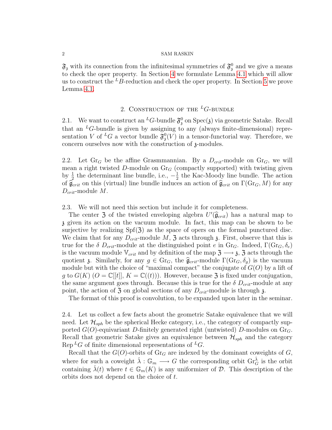$\mathfrak{F}_3$  with its connection from the infinitesimal symmetries of  $\mathfrak{F}_3^0$  and we give a means to check the oper property. In Section [4](#page-8-0) we formulate Lemma [4.1](#page-9-0) which will allow us to construct the  ${}^L B$ -reduction and check the oper property. In Section [5](#page-10-0) we prove Lemma [4.1.](#page-9-0)

# 2. CONSTRUCTION OF THE  ${}^L G$ -BUNDLE

<span id="page-1-0"></span>2.1. We want to construct an <sup>L</sup>G-bundle  $\mathfrak{F}^0_3$  on Spec(3) via geometric Satake. Recall that an  ${}^L G$ -bundle is given by assigning to any (always finite-dimensional) representation V of <sup>L</sup>G a vector bundle  $\mathfrak{F}^0_3(V)$  in a tensor-functorial way. Therefore, we concern ourselves now with the construction of  $\beta$ -modules.

2.2. Let  $\text{Gr}_G$  be the affine Grasmmannian. By a  $D_{crit}$ -module on  $\text{Gr}_G$ , we will mean a right twisted  $D$ -module on  $Gr_G$  (compactly supported) with twisting given by  $\frac{1}{2}$  the determinant line bundle, i.e.,  $-\frac{1}{2}$  $\frac{1}{2}$  the Kac-Moody line bundle. The action of  $\hat{\mathfrak{g}}_{crit}$  on this (virtual) line bundle induces an action of  $\hat{\mathfrak{g}}_{crit}$  on  $\Gamma(\text{Gr}_G, M)$  for any  $D_{crit}$ -module M.

2.3. We will not need this section but include it for completeness.

The center 3 of the twisted enveloping algebra  $U'(\hat{\mathfrak{g}}_{crit})$  has a natural map to<br>riven its action on the vacuum module. In fact, this map can be shown to be z given its action on the vacuum module. In fact, this map can be shown to be surjective by realizing  $Sp(3)$  as the space of opers on the formal punctured disc. We claim that for any  $D_{crit}$ -module M,  $\mathfrak{Z}$  acts through  $\mathfrak{z}$ . First, observe that this is true for the  $\delta D_{crit}$ -module at the distinguished point e in Gr<sub>G</sub>. Indeed,  $\Gamma(\text{Gr}_G, \delta_e)$ is the vacuum module  $\mathbb{V}_{crit}$  and by definition of the map  $\mathfrak{Z} \longrightarrow \mathfrak{z}, \mathfrak{Z}$  acts through the quotient 3. Similarly, for any  $g \in \mathrm{Gr}_G$ , the  $\hat{\mathfrak{g}}_{crit}$ -module  $\Gamma(\mathrm{Gr}_G, \delta_q)$  is the vacuum module but with the choice of "maximal compact" the conjugate of  $G(O)$  by a lift of g to  $G(K)$   $(O = \mathbb{C}[[t]], K = \mathbb{C}((t))).$  However, because 3 is fixed under conjugation, the same argument goes through. Because this is true for the  $\delta D_{crit}$ -module at any point, the action of 3 on global sections of any  $D_{crit}$ -module is through 3.

The format of this proof is convolution, to be expanded upon later in the seminar.

<span id="page-1-1"></span>2.4. Let us collect a few facts about the geometric Satake equivalence that we will need. Let  $\mathcal{H}_{sph}$  be the spherical Hecke category, i.e., the category of compactly supported  $G(O)$ -equivariant D-finitely generated right (untwisted) D-modules on Gr<sub>G</sub>. Recall that geometric Satake gives an equivalence between  $\mathcal{H}_{sph}$  and the category Rep  ${}^L G$  of finite dimensional representations of  ${}^L G$ .

Recall that the  $G(O)$ -orbits of  $Gr_G$  are indexed by the dominant coweights of G, where for such a coweight  $\check{\lambda}: \mathbb{G}_m \longrightarrow G$  the corresponding orbit  $\operatorname{Gr}_G^{\check{\lambda}}$  is the orbit containing  $\lambda(t)$  where  $t \in \mathbb{G}_m(K)$  is any uniformizer of D. This description of the orbits does not depend on the choice of t.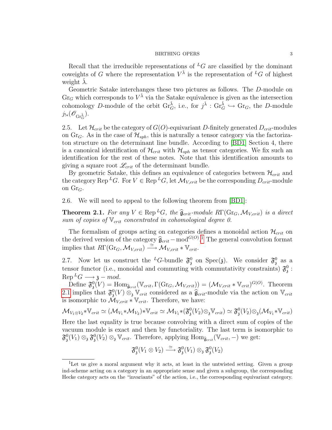Recall that the irreducible representations of  ${}^L G$  are classified by the dominant coweights of G where the representation  $V^{\check{\lambda}}$  is the representation of <sup>L</sup>G of highest weight  $\lambda$ .

Geometric Satake interchanges these two pictures as follows. The D-module on  $\text{Gr}_G$  which corresponds to  $V^{\check{\lambda}}$  via the Satake equivalence is given as the intersection cohomology D-module of the orbit  $\text{Gr}_{G}^{\check{\lambda}}$ , i.e., for  $j^{\check{\lambda}}$  :  $\text{Gr}_{G}^{\check{\lambda}} \hookrightarrow \text{Gr}_{G}$ , the D-module  $j_{!*}(\mathscr{O}_{\mathrm{Gr}^{\check{\lambda}}_G}).$ 

2.5. Let  $\mathcal{H}_{crit}$  be the category of  $G(O)$ -equivariant D-finitely generated  $D_{crit}$ -modules on Gr<sub>G</sub>. As in the case of  $\mathcal{H}_{sph}$ , this is naturally a tensor category via the factorizaton structure on the determinant line bundle. According to [\[BD1\]](#page-14-0) Section 4, there is a canonical identification of  $\mathcal{H}_{crit}$  with  $\mathcal{H}_{sph}$  as tensor categories. We fix such an identification for the rest of these notes. Note that this identification amounts to giving a square root  $\mathcal{L}_{crit}$  of the determinant bundle.

By geometric Satake, this defines an equivalence of categories between  $\mathcal{H}_{crit}$  and the category Rep <sup>L</sup>G. For  $V \in \text{Rep }^L G$ , let  $\mathcal{M}_{V,crit}$  be the corresponding  $D_{crit}$ -module on  $\mathrm{Gr}_G$ .

2.6. We will need to appeal to the following theorem from [\[BD1\]](#page-14-0):

<span id="page-2-0"></span>**Theorem 2.1.** For any  $V \in \text{Rep}^L G$ , the  $\hat{\mathfrak{g}}_{crit}$ -module  $R\Gamma(\text{Gr}_G, \mathcal{M}_{V, crit})$  is a direct sum of copies of  $\mathbb{V}_{crit}$  concentrated in cohomological degree 0.

The formalism of groups acting on categories defines a monoidal action  $\mathcal{H}_{crit}$  on the derived version of the category  $\hat{\mathfrak{g}}_{crit}$  – mod<sup> $G(O)$ </sup>.<sup>[1](#page-2-1)</sup> The general convolution format<br>involves that  $DF(C_1, M)$   $\cong M$ implies that  $R\Gamma(\text{Gr}_G,\mathcal{M}_{V,crit}) \stackrel{\simeq}{\longrightarrow} \mathcal{M}_{V,crit} * \mathbb{V}_{crit}.$ 

2.7. Now let us construct the <sup>L</sup>G-bundle  $\mathfrak{F}^0_3$  on Spec(3). We consider  $\mathfrak{F}^0_3$  as a tensor functor (i.e., monoidal and commuting with commutativity constraints)  $\mathfrak{F}^0_3$ :  $\text{Rep}^L G \longrightarrow \mathfrak{z} - \text{mod}.$ 

Define  $\mathfrak{F}^0_{\mathfrak{z}}(V) = \text{Hom}_{\widehat{\mathfrak{g}}_{crit}}(\mathbb{V}_{crit}, \Gamma(\text{Gr}_G, \mathcal{M}_{V,crit})) = (\mathcal{M}_{V,crit} * \mathbb{V}_{crit})^{G(O)}$ . Theorem [2.1](#page-2-0) implies that  $\mathfrak{F}_{3}^{0}(V) \otimes_{3} \mathbb{V}_{crit}$  considered as a  $\hat{\mathfrak{g}}_{crit}$ -module via the action on  $\mathbb{V}_{crit}$ <br>is isomorphic to  $M_{\text{crit}} \times \mathbb{V}$ . Therefore, we have: is isomorphic to  $\mathcal{M}_{V,crit} * \mathbb{V}_{crit}$ . Therefore, we have:

$$
\mathcal{M}_{V_1 \otimes V_2} * \mathbb{V}_{crit} \simeq (\mathcal{M}_{V_1} * \mathcal{M}_{V_2}) * \mathbb{V}_{crit} \simeq \mathcal{M}_{V_1} * (\mathfrak{F}_3^0(V_2) \otimes {}_{3} \mathbb{V}_{crit}) \simeq \mathfrak{F}_3^0(V_2) \otimes {}_{3} (\mathcal{M}_{V_1} * \mathbb{V}_{crit})
$$

Here the last equality is true because convolving with a direct sum of copies of the vacuum module is exact and then by functoriality. The last term is isomorphic to  $\mathfrak{F}^0_3(V_1) \otimes_{\mathfrak{z}} \mathfrak{F}^0_3(V_2) \otimes_{\mathfrak{z}} \mathbb{V}_{crit}$ . Therefore, applying  $\text{Hom}_{\widehat{\mathfrak{g}}_{crit}}(\mathbb{V}_{crit},-)$  we get:

$$
\mathfrak{F}^0_{\mathfrak{z}}(V_1 \otimes V_2) \stackrel{\simeq}{\longrightarrow} \mathfrak{F}^0_{\mathfrak{z}}(V_1) \otimes_{\mathfrak{z}} \mathfrak{F}^0_{\mathfrak{z}}(V_2)
$$

<span id="page-2-1"></span><sup>&</sup>lt;sup>1</sup>Let us give a moral argument why it acts, at least in the untwisted setting. Given a group ind-scheme acting on a category in an appropriate sense and given a subgroup, the corresponding Hecke category acts on the "invariants" of the action, i.e., the corresponding equivariant category.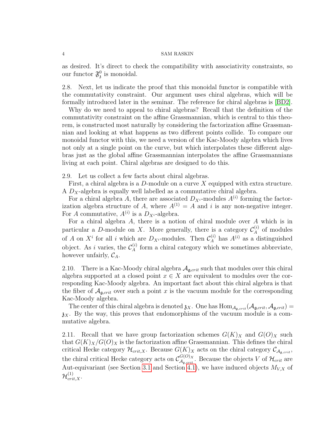as desired. It's direct to check the compatibility with associativity constraints, so our functor  $\mathfrak{F}^0_3$  is monoidal.

2.8. Next, let us indicate the proof that this monoidal functor is compatible with the commutativity constraint. Our argument uses chiral algebras, which will be formally introduced later in the seminar. The reference for chiral algebras is [\[BD2\]](#page-14-1).

Why do we need to appeal to chiral algebras? Recall that the definition of the commutativity constraint on the affine Grassmannian, which is central to this theorem, is constructed most naturally by considering the factorization affine Grassmannian and looking at what happens as two different points collide. To compare our monoidal functor with this, we need a version of the Kac-Moody algebra which lives not only at a single point on the curve, but which interpolates these different algebras just as the global affine Grassmannian interpolates the affine Grassmannians living at each point. Chiral algebras are designed to do this.

2.9. Let us collect a few facts about chiral algebras.

First, a chiral algebra is a D-module on a curve X equipped with extra structure. A  $D_X$ -algebra is equally well labelled as a commutative chiral algebra.

For a chiral algebra A, there are associated  $D_{X_i}$ -modules  $A^{(i)}$  forming the factorization algebra structure of A, where  $A^{(1)} = A$  and i is any non-negative integer. For A commutative,  $A^{(i)}$  is a  $D_{X_i}$ -algebra.

For a chiral algebra  $A$ , there is a notion of chiral module over  $A$  which is in particular a D-module on X. More generally, there is a category  $\mathcal{C}_{A}^{(i)}$  $\mathcal{A}^{(i)}$  of modules of A on  $X^i$  for all i which are  $D_{X^i}$ -modules. Then  $\mathcal{C}_A^{(i)}$  has  $A^{(i)}$  as a distinguished object. As i varies, the  $\mathcal{C}_{A}^{(i)}$  $A_A^{(i)}$  form a chiral category which we sometimes abbreviate, however unfairly,  $C_A$ .

2.10. There is a Kac-Moody chiral algebra  $A_{\mathfrak{q},crit}$  such that modules over this chiral algebra supported at a closed point  $x \in X$  are equivalent to modules over the corresponding Kac-Moody algebra. An important fact about this chiral algebra is that the fiber of  $\mathcal{A}_{\mathfrak{g},crit}$  over such a point x is the vacuum module for the corresponding Kac-Moody algebra.

The center of this chiral algebra is denoted  $\chi$ . One has  $\text{Hom}_{\mathcal{A}_{\mathfrak{g},crit}}(\mathcal{A}_{\mathfrak{g},crit},\mathcal{A}_{\mathfrak{g},crit})=$  $\lambda_X$ . By the way, this proves that endomorphisms of the vacuum module is a commutative algebra.

2.11. Recall that we have group factorization schemes  $G(K)_X$  and  $G(O)_X$  such that  $G(K)_X/G(O)_X$  is the factorization affine Grassmannian. This defines the chiral critical Hecke category  $\mathcal{H}_{crit,X}$ . Because  $G(K)_X$  acts on the chiral category  $\mathcal{C}_{A_{\mathfrak{g},crit}}$ , the chiral critical Hecke category acts on  $\mathcal{C}_{A_{\text{sc}}}}^{G(O)}$  $\mathcal{A}_{\mathbf{q},crit}^{(O)}$ . Because the objects V of  $\mathcal{H}_{crit}$  are Aut-equivariant (see Section [3.1](#page-4-1) and Section [4.1\)](#page-8-1), we have induced objects  $M_{V,X}$  of  $\mathcal{H}_{crit,X}^{(1)}$  .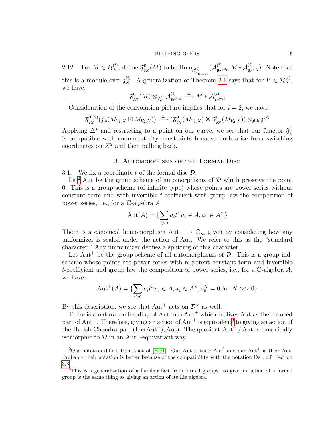2.12. For  $M \in \mathcal{H}_X^{(i)}$ , define  $\mathfrak{F}^0_{\mathfrak{z}_X}(M)$  to be  $\text{Hom}_{\mathcal{C}_{\mathcal{A}_{\mathfrak{g},crit}}^{(i)}}(\mathcal{A}_{\mathfrak{g},crit}^{(i)}, M * \mathcal{A}_{\mathfrak{g},crit}^{(i)})$ . Note that this is a module over  $\mathfrak{z}_X^{(i)}$ . A generalization of Theorem [2.1](#page-2-0) says that for  $V \in \mathcal{H}_X^{(i)}$ , we have:

$$
\mathfrak{F}^0_{\mathfrak{z}_X}(M) \otimes_{\mathfrak{z}_X^{(i)}} \mathcal{A}_{\mathfrak{g},crit}^{(i)} \xrightarrow{\simeq} M \ast \mathcal{A}_{\mathfrak{g},crit}^{(i)}
$$

Consideration of the convolution picture implies that for  $i = 2$ , we have:

$$
\mathfrak{F}_{3x}^{0,(2)}(j_{!*}(M_{V_1,X}\boxtimes M_{V_2,X}))\stackrel{\simeq}{\longrightarrow} (\mathfrak{F}_{3x}^0(M_{V_1,X})\boxtimes \mathfrak{F}_{3x}^0(M_{V_2,X}))\otimes_{\mathfrak{z}\boxtimes \mathfrak{z}} \mathfrak{z}^{(2)}
$$

Applying  $\Delta^*$  and restricting to a point on our curve, we see that our functor  $\mathfrak{F}^0_3$ is compatible with commutativity constraints because both arise from switching coordinates on  $X^2$  and then pulling back.

# 3. Automorphisms of the Formal Disc

<span id="page-4-1"></span><span id="page-4-0"></span>3.1. We fix a coordinate  $t$  of the formal disc  $\mathcal{D}$ .

Let<sup>[2](#page-4-2)</sup> Aut be the group scheme of automorphisms of  $\mathcal D$  which preserve the point 0. This is a group scheme (of infinite type) whose points are power series without constant term and with invertible t-coefficient with group law the composition of power series, i.e., for a C-algebra A:

$$
Aut(A) = \{ \sum_{i>0} a_i t^i | a_i \in A, a_1 \in A^{\times} \}
$$

There is a canonical homomorphism Aut  $\longrightarrow \mathbb{G}_m$  given by considering how any uniformizer is scaled under the action of Aut. We refer to this as the "standard character." Any uniformizer defines a splitting of this character.

Let Aut<sup>+</sup> be the group scheme of all automorphisms of  $D$ . This is a group indscheme whose points are power series with nilpotent constant term and invertible t-coefficient and group law the composition of power series, i.e., for a  $\mathbb{C}$ -algebra A, we have:

$$
Aut^+(A) = \{ \sum_{i \ge 0} a_i t^i | a_i \in A, a_1 \in A^\times, a_0^N = 0 \text{ for } N > > 0 \}
$$

By this description, we see that  $Aut^+$  acts on  $\mathcal{D}^{\times}$  as well.

There is a natural embedding of Aut into  $Aut<sup>+</sup>$  which realizes Aut as the reduced part of Aut<sup>+</sup>. Therefore, giving an action of Aut<sup>+</sup> is equivalent<sup>[3](#page-4-3)</sup> to giving an action of the Harish-Chandra pair  $(Lie(Aut^{+}), Aut)$ . The quotient  $Aut^{+}/Aut$  is canonically isomorphic to  $D$  in an Aut<sup>+</sup>-equivariant way.

<span id="page-4-2"></span><sup>&</sup>lt;sup>2</sup>Our notation differs from that of [\[BD1\]](#page-14-0). Our Aut is their  $Aut<sup>0</sup>$  and our  $Aut<sup>+</sup>$  is their Aut. Probably their notation is better because of the compatibility with the notation Der, c.f. Section [3.3.](#page-5-0)

<span id="page-4-3"></span><sup>3</sup>This is a generalization of a familiar fact from formal groups: to give an action of a formal group is the same thing as giving an action of its Lie algebra.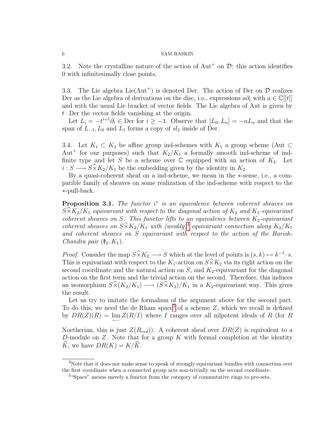3.2. Note the crystalline nature of the action of  $\text{Aut}^+$  on  $\mathcal{D}$ : this action identifies 0 with infinitesimally close points.

<span id="page-5-0"></span>3.3. The Lie algebra Lie( $Aut^+$ ) is denoted Der. The action of Der on  $\mathcal D$  realizes Der as the Lie algebra of derivations on the disc, i.e., expressions  $a\partial_t$  with  $a \in \mathbb{C}[[t]]$ and with the usual Lie bracket of vector fields. The Lie algebra of Aut is given by  $t \cdot$ Der the vector fields vanishing at the origin.

Let  $L_i = -t^{i+1}\partial_t \in \text{Der for } i \geq -1$ . Observe that  $[L_0, L_n] = -nL_n$  and that the span of  $L_{-1}$ ,  $L_0$  and  $L_1$  forms a copy of  $sl_2$  inside of Der.

3.4. Let  $K_1 \subset K_2$  be affine group ind-schemes with  $K_1$  a group scheme (Aut  $\subset$ Aut<sup>+</sup> for our purposes) such that  $K_2/K_1$  a formally smooth ind-scheme of indfinite type and let S be a scheme over  $\mathbb C$  equipped with an action of  $K_2$ . Let  $i: S \longrightarrow S \times K_2/K_1$  be the embedding given by the identity in  $K_2$ .

By a quasi-coherent sheaf on a ind-scheme, we mean in the ∗-sense, i.e., a compatible family of sheaves on some realization of the ind-scheme with respect to the ∗-pull-back.

<span id="page-5-3"></span>**Proposition 3.1.** The functor  $i^*$  is an equivalence between coherent sheaves on  $S\widetilde{\times}K_2/K_1$  equivariant with respect to the diagonal action of  $K_2$  and  $K_1$ -equivariant coherent sheaves on S. This functor lifts to an equivalence between  $K_2$ -equivariant coherent sheaves on  $S\widehat{\times}K_2/K_1$  with (weakly)<sup>[4](#page-5-1)</sup> equivariant connection along  $K_2/K_1$ and coherent sheaves on S equivariant with respect to the action of the Harish-*Chandra pair*  $(\mathfrak{k}_2, K_1)$ .

*Proof.* Consider the map  $S\widehat{\times}K_2 \longrightarrow S$  which at the level of points is  $(s, k) \mapsto k^{-1} \cdot s$ . This is equivariant with respect to the  $K_1$ -action on  $S \times K_2$  via its right action on the second coordinate and the natural action on  $S$ , and  $K_2$ -equivariant for the diagonal action on the first term and the trivial action on the second. Therefore, this induces an isomorphism  $S\widehat{\times}(K_2/K_1) \longrightarrow (S\widehat{\times}K_2)/K_1$  in a  $K_2$ -equivariant way. This gives the result.

Let us try to imitate the formalism of the argument above for the second part. To do this, we need the de Rham space<sup>[5](#page-5-2)</sup> of a scheme  $Z$ , which we recall is defined by  $DR(Z)(R) = \lim_{\longleftarrow} Z(R/I)$  where I ranges over all nilpotent ideals of R (for R

Noetherian, this is just  $Z(R_{red})$ . A coherent sheaf over  $DR(Z)$  is equivalent to a D-module on  $Z$ . Note that for a group  $K$  with formal completion at the identity  $\widehat{K}$ , we have  $DR(K) = K/\widehat{K}$ .

<span id="page-5-1"></span><sup>&</sup>lt;sup>4</sup>Note that it does not make sense to speak of strongly equivariant bundles with connection over the first coordinate when a connected group acts non-trivially on the second coordinate.

<span id="page-5-2"></span><sup>&</sup>lt;sup>5</sup>"Space" means merely a functor from the category of commutative rings to pro-sets.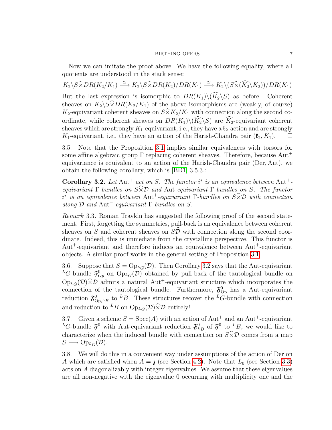Now we can imitate the proof above. We have the following equality, where all quotients are understood in the stack sense:

 $K_2 \backslash S\widehat{\times}DR(K_2/K_1) \stackrel{\simeq}{\longrightarrow} K_2 \backslash S\widehat{\times}DR(K_2)/DR(K_1) \stackrel{\simeq}{\longrightarrow} K_2 \backslash (S\widehat{\times}(\widehat{K_2}\backslash K_2))/DR(K_1)$ But the last expression is isomorphic to  $DR(K_1)\setminus (\widehat{K_2}\setminus S)$  as before. Coherent sheaves on  $K_2 \backslash S \widehat{\times} DR(K_2/K_1)$  of the above isomorphisms are (weakly, of course)  $K_2$ -equivariant coherent sheaves on  $S\widehat{\times}K_2/K_1$  with connection along the second coordinate, while coherent sheaves on  $DR(K_1)\setminus (\widehat{K_2}\setminus S)$  are  $\widehat{K_2}$ -equivariant coherent sheaves which are strongly  $K_1$ -equivariant, i.e., they have a  $\mathfrak{k}_2$ -action and are strongly  $K_1$ -equivariant, i.e., they have an action of the Harish-Chandra pair  $(\mathfrak{k}_2, K_1)$ .  $\Box$ 

3.5. Note that the Proposition [3.1](#page-5-3) implies similar equivalences with torsors for some affine algebraic group  $\Gamma$  replacing coherent sheaves. Therefore, because Aut<sup>+</sup> equivariance is equivalent to an action of the Harish-Chandra pair (Der, Aut), we obtain the following corollary, which is [\[BD1\]](#page-14-0) 3.5.3.:

<span id="page-6-0"></span>Corollary 3.2. Let  $\text{Aut}^+$  act on S. The functor  $i^*$  is an equivalence between  $\text{Aut}^+$ equivariant Γ-bundles on  $S\widehat{\times}D$  and Aut-equivariant Γ-bundles on S. The functor  $i^*$  is an equivalence between  $\text{Aut}^+$ -equivariant  $\Gamma$ -bundles on  $S\widehat{\times}\mathcal{D}$  with connection along  $\mathcal D$  and  $\text{Aut}^+$ -equivariant  $\Gamma$ -bundles on  $S$ .

Remark 3.3. Roman Travkin has suggested the following proof of the second statement. First, forgetting the symmetries, pull-back is an equivalence between coherent sheaves on S and coherent sheaves on  $S\hat{\mathcal{D}}$  with connection along the second coordinate. Indeed, this is immediate from the crystalline perspective. This functor is Aut<sup>+</sup>-equivariant and therefore induces an equivalence between Aut<sup>+</sup>-equivariant objects. A similar proof works in the general setting of Proposition [3.1.](#page-5-3)

3.6. Suppose that  $S = \text{Op}_{L}(\mathcal{D})$ . Then Corollary [3.2](#page-6-0) says that the Aut-equivariant <sup>L</sup>G-bundle  $\mathfrak{F}^0_{Op}$  on  $Op_{^LG}(\mathcal{D})$  obtained by pull-back of the tautological bundle on  $\text{Op}_{L}_G(\mathcal{D})\widehat{\times}\mathcal{D}$  admits a natural Aut<sup>+</sup>-equivariant structure which incorporates the connection of the tautological bundle. Furthermore,  $\mathfrak{F}^0_{\text{Op}}$  has a Aut-equivariant reduction  $\mathfrak{F}^0_{\mathsf{Op},^L B}$  to <sup>L</sup>B. These structures recover the <sup>L</sup>G-bundle with connection and reduction to <sup>L</sup>B on  $Op_{L}(\mathcal{D})\hat{\times}\mathcal{D}$  entirely!

3.7. Given a scheme  $S = \text{Spec}(A)$  with an action of Aut<sup>+</sup> and an Aut<sup>+</sup>-equivariant <sup>L</sup>G-bundle  $\mathfrak{F}^0$  with Aut-equivariant reduction  $\mathfrak{F}^0_{L_B}$  of  $\mathfrak{F}^0$  to <sup>L</sup>B, we would like to characterize when the induced bundle with connection on  $S\widehat{\times}\mathcal{D}$  comes from a map  $S \longrightarrow \mathrm{Op}_{L}_G(\mathcal{D}).$ 

<span id="page-6-1"></span>3.8. We will do this in a convenient way under assumptions of the action of Der on A which are satisfied when  $A = \mathfrak{z}$  (see Section [4.2\)](#page-9-1). Note that  $L_0$  (see Section [3.3\)](#page-5-0) acts on  $A$  diagonalizably with integer eigenvalues. We assume that these eigenvalues are all non-negative with the eigenvalue 0 occurring with multiplicity one and the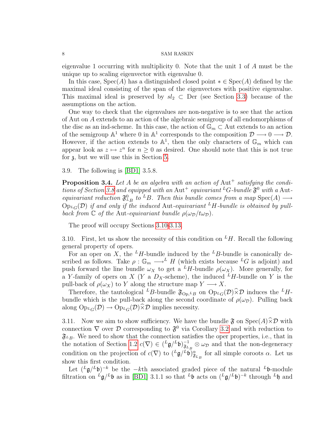eigenvalue 1 occurring with multiplicity 0. Note that the unit 1 of A must be the unique up to scaling eigenvector with eigenvalue 0.

In this case,  $Spec(A)$  has a distinguished closed point  $* \in Spec(A)$  defined by the maximal ideal consisting of the span of the eigenvectors with positive eigenvalue. This maximal ideal is preserved by  $sl_2 \text{ }\subset \text{ Der }$  (see Section [3.3\)](#page-5-0) because of the assumptions on the action.

One way to check that the eigenvalues are non-negative is to see that the action of Aut on A extends to an action of the algebraic semigroup of all endomorphisms of the disc as an ind-scheme. In this case, the action of  $\mathbb{G}_m \subset$  Aut extends to an action of the semigroup  $\mathbb{A}^1$  where 0 in  $\mathbb{A}^1$  corresponds to the composition  $\mathcal{D} \longrightarrow 0 \longrightarrow \mathcal{D}$ . However, if the action extends to  $\mathbb{A}^1$ , then the only characters of  $\mathbb{G}_m$  which can appear look as  $z \mapsto z^n$  for  $n \geq 0$  as desired. One should note that this is not true for  $\lambda$ , but we will use this in Section [5.](#page-10-0)

3.9. The following is [\[BD1\]](#page-14-0) 3.5.8.

<span id="page-7-2"></span>**Proposition 3.4.** Let A be an algebra with an action of  $\text{Aut}^+$  satisfying the condi-tions of Section [3.8](#page-6-1) and equipped with an Aut<sup>+</sup> equivariant <sup>L</sup>G-bundle  $\mathfrak{F}^0$  with a Autequivariant reduction  $\mathfrak{F}_{L}^0$  to <sup>L</sup>B. Then this bundle comes from a map Spec(A)  $\longrightarrow$  $Op_{L_G}(D)$  if and only if the induced Aut-equivariant <sup>L</sup>H-bundle is obtained by pullback from  $\mathbb C$  of the Aut-equivariant bundle  $\rho(\omega_{\mathcal D}/t\omega_{\mathcal D})$ .

The proof will occupy Sections [3.10-](#page-7-0)[3.13.](#page-8-2)

<span id="page-7-0"></span>3.10. First, let us show the necessity of this condition on  $^LH$ . Recall the following general property of opers.

For an oper on X, the <sup>L</sup>H-bundle induced by the <sup>L</sup>B-bundle is canonically described as follows. Take  $\rho : \mathbb{G}_m \longrightarrow^L H$  (which exists because <sup>L</sup>G is adjoint) and push forward the line bundle  $\omega_X$  to get a <sup>L</sup>H-bundle  $\rho(\omega_X)$ . More generally, for a Y-family of opers on X (Y a  $D_X$ -scheme), the induced <sup>L</sup>H-bundle on Y is the pull-back of  $\rho(\omega_X)$  to Y along the structure map  $Y \longrightarrow X$ .

Therefore, the tautological <sup>L</sup>B-bundle  $\mathfrak{F}_{\text{Op},L}$  on  $\text{Op}_L(G(\mathcal{D})\hat{\times}\mathcal{D})$  induces the <sup>L</sup>Hbundle which is the pull-back along the second coordinate of  $\rho(\omega_{\mathcal{D}})$ . Pulling back along  $Op_{L_G}(\mathcal{D}) \rightarrow Op_{L_G}(\mathcal{D}) \widehat{\times} \mathcal{D}$  implies necessity.

<span id="page-7-1"></span>3.11. Now we aim to show sufficiency. We have the bundle  $\mathfrak F$  on  $\operatorname{Spec}(A)\times\mathcal D$  with connection  $\nabla$  over  $\mathcal D$  corresponding to  $\mathfrak{F}^0$  via Corollary [3.2](#page-6-0) and with reduction to  $\mathfrak{F}_{L}$ . We need to show that the connection satisfies the oper properties, i.e., that in the notation of Section [1.2](#page-0-0)  $c(\nabla) \in ({}^L\mathfrak{g}/{}^L\mathfrak{b})_{\mathfrak{F}_r}^{-1}$  $\widetilde{\mathfrak{s}}_{L_B}^{-1} \otimes \omega_{\mathcal{D}}$  and that the non-degeneracy condition on the projection of  $c(\nabla)$  to  $({^L}\mathfrak{g}/^L\mathfrak{b})^{\alpha}_{\mathfrak{F}_{L_B}}$  for all simple coroots  $\alpha$ . Let us show this first condition.

Let  $\left( \frac{L_{\mathcal{g}}}{L_{\mathcal{b}}}\right)^{-k}$  be the -kth associated graded piece of the natural  $L_{\mathcal{b}}$ -module filtration on  $L\mathfrak{g}/L\mathfrak{b}$  as in [\[BD1\]](#page-14-0) 3.1.1 so that  $L\mathfrak{b}$  acts on  $(L\mathfrak{g}/L\mathfrak{b})^{-k}$  through  $L\mathfrak{h}$  and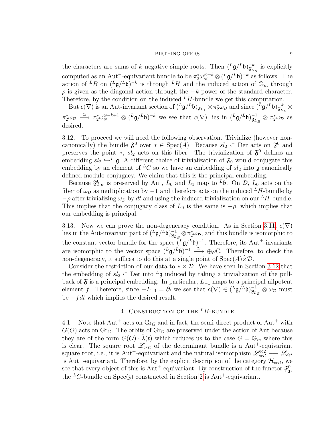the characters are sums of k negative simple roots. Then  $\left( \frac{L_{\mathfrak{g}}}{L_{\mathfrak{b}}}\right)_{\mathfrak{F}_{r}}^{-k}$  $\overline{\mathfrak{s}}_{L_B}^{-k}$  is explicitly computed as an Aut<sup>+</sup>-equivariant bundle to be  $\pi_2^* \omega_{\mathscr{D}}^{\otimes -k} \otimes (L\mathfrak{g}/L\mathfrak{b})^{-k}$  as follows. The action of <sup>L</sup>B on  $({}^L\mathfrak{g}/{}^L\mathfrak{b})^{-k}$  is through  ${}^L H$  and the induced action of  $\mathbb{G}_m$  through  $\rho$  is given as the diagonal action through the  $-k$ -power of the standard character. Therefore, by the condition on the induced  $^{L}H$ -bundle we get this computation.

But  $c(\nabla)$  is an Aut-invariant section of  $({^L}\mathfrak{g}/{}^L\mathfrak{b})_{\mathfrak{F}_{L_B}} \otimes \pi_2^* \omega_{\mathcal{D}}$  and since  $({^L}\mathfrak{g}/{}^L\mathfrak{b})_{\mathfrak{F}_L}^{-k}$  $\frac{-k}{\mathfrak{F}_L}_B\otimes$  $\pi_2^*\omega_{\mathcal{D}} \stackrel{\simeq}{\longrightarrow} \pi_2^*\omega_{\mathcal{D}}^{\otimes-k+1} \otimes (^L\mathfrak{g}/^L\mathfrak{b})^{-k}$  we see that  $c(\nabla)$  lies in  $(^L\mathfrak{g}/^L\mathfrak{b})_{\mathfrak{F}_L}^{-1}$  $\frac{-1}{\mathfrak{F}_{L}}_{B} \otimes \pi_{2}^{\ast} \omega_{\mathcal{D}}$  as desired.

<span id="page-8-3"></span>3.12. To proceed we will need the following observation. Trivialize (however noncanonically) the bundle  $\mathfrak{F}^0$  over  $* \in \text{Spec}(A)$ . Because  $sl_2 \subset \text{Der}$  acts on  $\mathfrak{F}^0$  and preserves the point  $\ast$ ,  $sl_2$  acts on this fiber. The trivialization of  $\mathfrak{F}^0$  defines an embedding  $sl_2 \hookrightarrow^L \mathfrak{g}$ . A different choice of trivialization of  $\mathfrak{F}_0$  would conjugate this embedding by an element of <sup>L</sup>G so we have an embedding of  $sl_2$  into g canonically defined modulo conjugacy. We claim that this is the principal embedding.

Because  $\mathfrak{F}^0_{L_B}$  is preserved by Aut,  $L_0$  and  $L_1$  map to  $^L\mathfrak{b}$ . On  $\mathcal{D}$ ,  $L_0$  acts on the fiber of  $\omega_{\mathcal{D}}$  as multiplication by  $-1$  and therefore acts on the induced  $^L H$ -bundle by  $-\rho$  after trivializing  $\omega_{\mathcal{D}}$  by dt and using the induced trivialization on our <sup>L</sup>H-bundle. This implies that the conjugacy class of  $L_0$  is the same is  $-\rho$ , which implies that our embedding is principal.

<span id="page-8-2"></span>3.13. Now we can prove the non-degeneracy condition. As in Section [3.11,](#page-7-1)  $c(\nabla)$ lies in the Aut-invariant part of  $({}^L\mathfrak{g}/{}^L\mathfrak{b})_{\mathfrak{F}_r}^{-1}$  $\overline{\mathfrak{s}}_{L_B}^{-1} \otimes \pi_2^* \omega_{\mathcal{D}}$ , and this bundle is isomorphic to the constant vector bundle for the space  $(L\mathfrak{g}/L\mathfrak{b})^{-1}$ . Therefore, its Aut<sup>+</sup>-invariants are isomorphic to the vector space  $({}^L\mathfrak{g}/{}^L\mathfrak{b})^{-1} \stackrel{\simeq}{\longrightarrow} \oplus_{\check{\alpha}} \mathbb{C}$ . Therefore, to check the non-degeneracy, it suffices to do this at a single point of  $Spec(A)\hat{\times}\mathcal{D}$ .

Consider the restriction of our data to  $\star \times \mathcal{D}$ . We have seen in Section [3.12](#page-8-3) that the embedding of  $sl_2 \,\subset \,\mathbb{D}$ er into  $\,L$ g induced by taking a trivialization of the pullback of  $\mathfrak F$  is a principal embedding. In particular,  $L_{-1}$  maps to a principal nilpotent element f. Therefore, since  $-L_{-1} = \partial_t$  we see that  $c(\nabla) \in (L_g/L_b)^{-1}_{\mathfrak{F}_L}$  $\frac{-1}{\mathfrak{F}_{L_{B}}}\otimes \omega_{\mathcal{D}}$  must be  $-fdt$  which implies the desired result.

# 4. CONSTRUCTION OF THE  ${}^L B$ -bundle

<span id="page-8-1"></span><span id="page-8-0"></span>4.1. Note that  $\text{Aut}^+$  acts on  $\text{Gr}_G$  and in fact, the semi-direct product of  $\text{Aut}^+$  with  $G(O)$  acts on  $\text{Gr}_G$ . The orbits of  $\text{Gr}_G$  are preserved under the action of Aut because they are of the form  $G(O) \cdot \check{\lambda}(t)$  which reduces us to the case  $G = \mathbb{G}_m$  where this is clear. The square root  $\mathscr{L}_{crit}$  of the determinant bundle is a Aut<sup>+</sup>-equivariant square root, i.e., it is Aut<sup>+</sup>-equivariant and the natural isomorphism  $\mathscr{L}_{crit}^{\otimes 2} \longrightarrow \mathscr{L}_{det}$ is Aut<sup>+</sup>-equivariant. Therefore, by the explicit description of the category  $\mathcal{H}_{crit}$ , we see that every object of this is  $\text{Aut}^+$ -equivariant. By construction of the functor  $\mathfrak{F}^0_3$ , the <sup>L</sup>G-bundle on Spec(3) constructed in Section [2](#page-1-0) is Aut<sup>+</sup>-equivariant.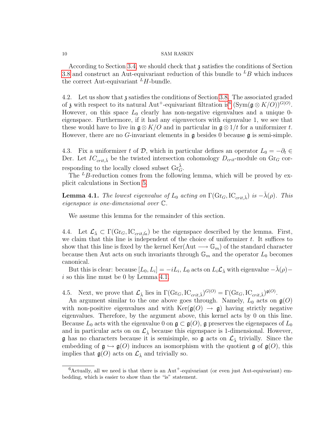According to Section [3.4,](#page-7-2) we should check that  $\chi$  satisfies the conditions of Section [3.8](#page-6-1) and construct an Aut-equivariant reduction of this bundle to  ${}^L B$  which induces the correct Aut-equivariant  $^L H$ -bundle.

<span id="page-9-1"></span>4.2. Let us show that z satisfies the conditions of Section [3.8.](#page-6-1) The associated graded of **3** with respect to its natural Aut<sup>+</sup>-equivariant filtration is<sup>[6](#page-9-2)</sup> (Sym( $\mathfrak{g} \otimes K/O$ ))<sup> $G(O)$ </sup>. However, on this space  $L_0$  clearly has non-negative eigenvalues and a unique 0eigenspace. Furthermore, if it had any eigenvectors with eigenvalue 1, we see that these would have to live in  $\mathfrak{g} \otimes K/O$  and in particular in  $\mathfrak{g} \otimes 1/t$  for a uniformizer t. However, there are no G-invariant elements in  $\mathfrak g$  besides 0 because  $\mathfrak g$  is semi-simple.

4.3. Fix a uniformizer t of D, which in particular defines an operator  $L_0 = -\partial_t \in$ Der. Let  $IC_{crit,\lambda}$  be the twisted intersection cohomology  $D_{crit}$ -module on Gr<sub>G</sub> corresponding to the locally closed subset  $\text{Gr}_G^{\check{\lambda}}$ .

The  ${}^L B$ -reduction comes from the following lemma, which will be proved by explicit calculations in Section [5.](#page-10-0)

<span id="page-9-0"></span>**Lemma 4.1.** The lowest eigenvalue of  $L_0$  acting on  $\Gamma(\text{Gr}_G, \text{IC}_{crit,\tilde{\lambda}})$  is  $-\tilde{\lambda}(\rho)$ . This eigenspace is one-dimensional over C.

We assume this lemma for the remainder of this section.

4.4. Let  $\mathcal{L}_{\lambda} \subset \Gamma(\text{Gr}_G, \text{IC}_{\text{crit},\tilde{\mu}})$  be the eigenspace described by the lemma. First, we claim that this line is independent of the choice of uniformizer  $t$ . It suffices to show that this line is fixed by the kernel Ker(Aut  $\longrightarrow \mathbb{G}_m$ ) of the standard character because then Aut acts on such invariants through  $\mathbb{G}_m$  and the operator  $L_0$  becomes canonical.

But this is clear: because  $[L_0, L_i] = -iL_i$ ,  $L_0$  acts on  $L_i \mathcal{L}_{\lambda}$  with eigenvalue  $-\lambda(\rho)$ i so this line must be 0 by Lemma [4.1.](#page-9-0)

4.5. Next, we prove that  $\mathcal{L}_{\lambda}$  lies in  $\Gamma(\text{Gr}_G, \text{IC}_{crit,\lambda})^{G(O)} = \Gamma(\text{Gr}_G, \text{IC}_{crit,\lambda})^{\mathfrak{g}(O)}$ .

An argument similar to the one above goes through. Namely,  $L_0$  acts on  $\mathfrak{g}(O)$ with non-positive eigenvalues and with  $\text{Ker}(\mathfrak{g}(O) \to \mathfrak{g})$  having strictly negative eigenvalues. Therefore, by the argument above, this kernel acts by 0 on this line. Because  $L_0$  acts with the eigenvalue 0 on  $\mathfrak{g} \subset \mathfrak{g}(O)$ ,  $\mathfrak{g}$  preserves the eigenspaces of  $L_0$ and in particular acts on on  $\mathcal{L}_{\lambda}$  because this eigenspace is 1-dimensional. However, g has no characters because it is semisimple, so g acts on  $\mathcal{L}_\lambda$  trivially. Since the embedding of  $\mathfrak{g} \hookrightarrow \mathfrak{g}(O)$  induces an isomorphism with the quotient  $\mathfrak{g}$  of  $\mathfrak{g}(O)$ , this implies that  $\mathfrak{g}(O)$  acts on  $\mathcal{L}_{\lambda}$  and trivially so.

<span id="page-9-2"></span> ${}^{6}$ Actually, all we need is that there is an Aut<sup>+</sup>-equivariant (or even just Aut-equivariant) embedding, which is easier to show than the "is" statement.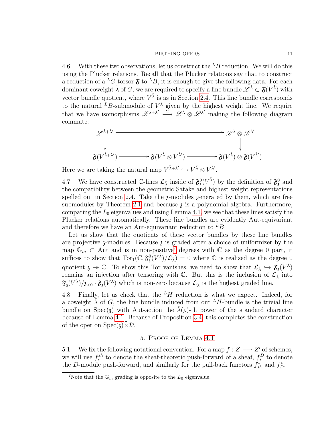4.6. With these two observations, let us construct the  ${}^L B$  reduction. We will do this using the Plucker relations. Recall that the Plucker relations say that to construct a reduction of a <sup>L</sup>G-torsor  $\mathfrak{F}$  to <sup>L</sup>B, it is enough to give the following data. For each dominant coweight  $\check\lambda$  of G, we are required to specify a line bundle  $\mathscr{L}^{\check\lambda}\subset \mathfrak{F}(V^{\check\lambda})$  with vector bundle quotient, where  $V^{\check{\lambda}}$  is as in Section [2.4.](#page-1-1) This line bundle corresponds to the natural  ${}^L B$ -submodule of  $V^{\check{\lambda}}$  given by the highest weight line. We require that we have isomorphisms  $\mathscr{L}^{\check{\lambda}+\check{\lambda}'} \stackrel{\simeq}{\longrightarrow} \mathscr{L}^{\check{\lambda}} \otimes \mathscr{L}^{\check{\lambda}'}$  making the following diagram commute:

$$
\begin{array}{ccc}\n\mathscr{L}^{\check{\lambda}+\check{\lambda}'} & \longrightarrow & \mathscr{L}^{\check{\lambda}}\otimes\mathscr{L}^{\check{\lambda}'} \\
\downarrow & & \downarrow & \\
\mathfrak{F}(V^{\check{\lambda}+\lambda'}) & \longrightarrow & \mathfrak{F}(V^{\check{\lambda}}\otimes V^{\check{\lambda}'}) & \longrightarrow & \mathfrak{F}(V^{\check{\lambda}})\otimes\mathfrak{F}(V^{\check{\lambda}'}).\n\end{array}
$$

Here we are taking the natural map  $V^{\check{\lambda}+\lambda'} \hookrightarrow V^{\check{\lambda}} \otimes V^{\check{\lambda}'}$ .

4.7. We have constructed C-lines  $\mathcal{L}_{\lambda}$  inside of  $\mathfrak{F}_{3}^{0}(V^{\lambda})$  by the definition of  $\mathfrak{F}_{3}^{0}$  and the compatibility between the geometric Satake and highest weight representations spelled out in Section [2.4.](#page-1-1) Take the 3-modules generated by them, which are free submodules by Theorem [2.1](#page-2-0) and because  $\lambda$  is a polynomial algebra. Furthermore, comparing the  $L_0$  eigenvalues and using Lemma [4.1,](#page-9-0) we see that these lines satisfy the Plucker relations automatically. These line bundles are evidently Aut-equivariant and therefore we have an Aut-equivariant reduction to  ${}^L B$ .

Let us show that the quotients of these vector bundles by these line bundles are projective  $\lambda$ -modules. Because  $\lambda$  is graded after a choice of uniformizer by the map  $\mathbb{G}_m \subset$  Aut and is in non-positive<sup>[7](#page-10-1)</sup> degrees with  $\mathbb C$  as the degree 0 part, it suffices to show that  $Tor_1(\mathbb{C}, \mathfrak{F}_3^0(V^{\check{\lambda}})/\mathcal{L}_{\check{\lambda}})=0$  where  $\mathbb C$  is realized as the degree 0 quotient  $\mathfrak{z} \to \mathbb{C}$ . To show this Tor vanishes, we need to show that  $\mathcal{L}_{\lambda} \hookrightarrow \mathfrak{F}_{\mathfrak{z}}(V^{\lambda})$ remains an injection after tensoring with  $\mathbb{C}$ . But this is the inclusion of  $\mathcal{L}_\lambda^{\dagger}$  into  $\mathfrak{F}_{3}(V^{\check{\lambda}})/\mathfrak{z}_{\leq 0}\cdot \mathfrak{F}_{3}(V^{\check{\lambda}})$  which is non-zero because  $\mathcal{L}_{\check{\lambda}}$  is the highest graded line.

4.8. Finally, let us check that the  $^L H$  reduction is what we expect. Indeed, for a coweight  $\check{\lambda}$  of G, the line bundle induced from our  $^LH$ -bundle is the trivial line bundle on Spec(z) with Aut-action the  $\lambda(\rho)$ -th power of the standard character because of Lemma [4.1.](#page-9-0) Because of Proposition [3.4,](#page-7-2) this completes the construction of the oper on  $Spec(\mathfrak{z})\times \mathcal{D}$ .

## 5. Proof of Lemma [4.1](#page-9-0)

<span id="page-10-0"></span>5.1. We fix the following notational convention. For a map  $f: Z \longrightarrow Z'$  of schemes, we will use  $f_*^{sh}$  to denote the sheaf-theoretic push-forward of a sheaf,  $f_*^D$  to denote the D-module push-forward, and similarly for the pull-back functors  $f_{sh}^*$  and  $f_D^*$ .

<span id="page-10-1"></span><sup>&</sup>lt;sup>7</sup>Note that the  $\mathbb{G}_m$  grading is opposite to the  $L_0$  eigenvalue.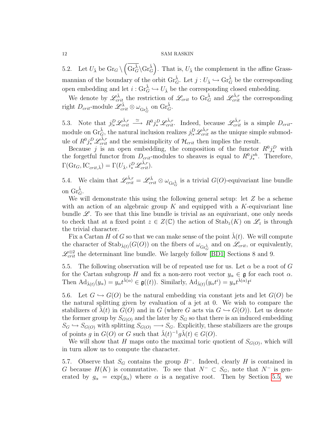5.2. Let  $U_{\check{\lambda}}$  be  $\text{Gr}_{G} \setminus (\overline{\text{Gr}_{G}^{\check{\lambda}}} \backslash \text{Gr}_{G}^{\check{\lambda}})$ . That is,  $U_{\check{\lambda}}$  the complement in the affine Grassmannian of the boundary of the orbit  $\text{Gr}_G^{\check{\lambda}}$ . Let  $j: U_{\check{\lambda}} \hookrightarrow \text{Gr}_G^{\check{\lambda}}$  be the corresponding open embedding and let  $i : \text{Gr}_G^{\check{\lambda}} \hookrightarrow U_{\check{\lambda}}$  be the corresponding closed embedding.

We denote by  $\mathscr{L}_{crit}^{\lambda}$  the restriction of  $\mathscr{L}_{crit}$  to  $\text{Gr}_{G}^{\lambda}$  and  $\mathscr{L}_{crit}^{\lambda,r}$  the corresponding right  $D_{crit}$ -module  $\mathscr{L}_{crit}^{\lambda} \otimes \omega_{\text{Gr}_G^{\lambda}}$  on  $\text{Gr}_G^{\lambda}$ .

5.3. Note that  $j_{!*}^D\mathscr{L}_{crit}^{\check{\lambda},r}$  $\sum_{crit}^{\delta\tilde{\lambda},r} \stackrel{\simeq}{\longrightarrow} R^0 j^D_* \mathscr{L}_{crit}^{\tilde{\lambda},r}$ . Indeed, because  $\mathscr{L}_{crit}^{\tilde{\lambda},r}$  is a simple  $D_{crit}$ module on  $\text{Gr}_{G}^{\check{\lambda}}$ , the natural inclusion realizes  $j_{!*}^D \mathscr{L}_{crit}^{\check{\lambda},r}$  as the unique simple submodule of  $R^0 j^D_* \mathscr{L}_{crit}^{\tilde{\lambda},r}$  and the semisimplicity of  $\mathcal{H}_{crit}$  then implies the result.

Because *j* is an open embedding, the composition of the functor  $R^0 j_*^D$  with the forgetful functor from  $D_{crit}$ -modules to sheaves is equal to  $R^0 j_*^{sh}$ . Therefore,  $\Gamma(\text{Gr}_G, \text{IC}_{crit,\check{\lambda}}) = \Gamma(U_{\check{\lambda}}, i^D_*\mathscr{L}_{crit}^{\check{\lambda},r}).$ 

<span id="page-11-1"></span>5.4. We claim that  $\mathscr{L}_{crit}^{\check{\lambda},r} = \mathscr{L}_{crit}^{\check{\lambda}} \otimes \omega_{\text{Gr}^{\check{\lambda}}_{G}}$  is a trivial  $G(O)$ -equivariant line bundle on  $\operatorname{Gr}_{G}^{\check{\lambda}}$ .

We will demonstrate this using the following general setup: let  $Z$  be a scheme with an action of an algebraic group  $K$  and equipped with a  $K$ -equivariant line bundle  $\mathscr{L}$ . To see that this line bundle is trivial as an equivariant, one only needs to check that at a fixed point  $z \in Z(\mathbb{C})$  the action of  $\text{Stab}_z(K)$  on  $\mathscr{L}_z$  is through the trivial character.

Fix a Cartan H of G so that we can make sense of the point  $\lambda(t)$ . We will compute the character of  $\text{Stab}_{\lambda(t)}(G(O))$  on the fibers of  $\omega_{\text{Gr}^{\lambda}_{G}}$  and on  $\mathscr{L}_{crit}$ , or equivalently,  $\mathscr{L}_{crit}^{\otimes 2}$  the determinant line bundle. We largely follow [\[BD1\]](#page-14-0) Sections 8 and 9.

<span id="page-11-0"></span>5.5. The following observation will be of repeated use for us. Let  $\alpha$  be a root of G for the Cartan subgroup H and fix a non-zero root vector  $y_{\alpha} \in \mathfrak{g}$  for each root  $\alpha$ . Then  $\operatorname{Ad}_{\tilde{\lambda}(t)}(y_{\alpha}) = y_{\alpha} t^{\tilde{\lambda}(\alpha)} \in \mathfrak{g}((t)).$  Similarly,  $\operatorname{Ad}_{\tilde{\lambda}(t)}(y_{\alpha} t^i) = y_{\alpha} t^{\tilde{\lambda}(\alpha)} t^i$ 

5.6. Let  $G \hookrightarrow G(O)$  be the natural embedding via constant jets and let  $G(O)$  be the natural splitting given by evaluation of a jet at 0. We wish to compare the stabilizers of  $\lambda(t)$  in  $G(O)$  and in G (where G acts via  $G \hookrightarrow G(O)$ ). Let us denote the former group by  $S_{G(O)}$  and the later by  $S_G$  so that there is an induced embedding  $S_G \hookrightarrow S_{G(O)}$  with splitting  $S_{G(O)} \longrightarrow S_G$ . Explicitly, these stabilizers are the groups of points g in  $G(O)$  or G such that  $\check{\lambda}(t)^{-1}g\check{\lambda}(t) \in G(O)$ .

We will show that H maps onto the maximal toric quotient of  $S_{G(O)}$ , which will in turn allow us to compute the character.

5.7. Observe that  $S_G$  contains the group  $B^-$ . Indeed, clearly H is contained in G because  $H(K)$  is commutative. To see that  $N^- \subset S_G$ , note that  $N^-$  is generated by  $g_{\alpha} = \exp(y_{\alpha})$  where  $\alpha$  is a negative root. Then by Section [5.5,](#page-11-0) we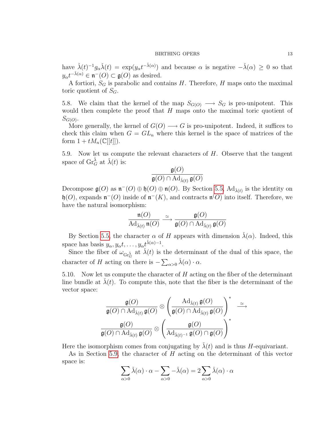have  $\check{\lambda}(t)^{-1}g_{\alpha}\check{\lambda}(t) = \exp(y_{\alpha}t^{-\check{\lambda}(\alpha)})$  and because  $\alpha$  is negative  $-\check{\lambda}(\alpha) \geq 0$  so that  $y_{\alpha}t^{-\check{\lambda}(\alpha)} \in \mathfrak{n}^-(O) \subset \mathfrak{g}(O)$  as desired.

A fortiori,  $S_G$  is parabolic and contains H. Therefore, H maps onto the maximal toric quotient of  $S_G$ .

5.8. We claim that the kernel of the map  $S_{G(O)} \longrightarrow S_G$  is pro-unipotent. This would then complete the proof that  $H$  maps onto the maximal toric quotient of  $S_{G(O)}$ .

More generally, the kernel of  $G(O) \longrightarrow G$  is pro-unipotent. Indeed, it suffices to check this claim when  $G = GL_n$  where this kernel is the space of matrices of the form  $1 + tM_n(\mathbb{C}[[t]])$ .

<span id="page-12-0"></span>5.9. Now let us compute the relevant characters of H. Observe that the tangent space of  $\operatorname{Gr}_G^{\check{\lambda}}$  at  $\check{\lambda}(t)$  is:

$$
\frac{\mathfrak{g}(O)}{\mathfrak{g}(O)\cap \mathrm{Ad}_{\check{\lambda}(t)}\,\mathfrak{g}(O)}
$$

Decompose  $\mathfrak{g}(O)$  as  $\mathfrak{n}^-(O) \oplus \mathfrak{h}(O) \oplus \mathfrak{n}(O)$ . By Section [5.5,](#page-11-0)  $\text{Ad}_{\lambda(t)}$  is the identity on  $\mathfrak{h}(O)$ , expands  $\mathfrak{n}^-(O)$  inside of  $\mathfrak{n}^-(K)$ , and contracts  $\mathfrak{n}^-(O)$  into itself. Therefore, we have the natural isomorphism:

$$
\frac{\mathfrak{n}(O)}{\mathrm{Ad}_{\check{\lambda}(t)}\,\mathfrak{n}(O)}\xrightarrow{\simeq}\frac{\mathfrak{g}(O)}{\mathfrak{g}(O)\cap\mathrm{Ad}_{\check{\lambda}(t)}\,\mathfrak{g}(O)}
$$

By Section [5.5,](#page-11-0) the character  $\alpha$  of H appears with dimension  $\dot{\lambda}(\alpha)$ . Indeed, this space has basis  $y_{\alpha}, y_{\alpha}t, \ldots, y_{\alpha}t^{\check{\lambda}(\alpha)-1}$ .

Since the fiber of  $\omega_{\text{Gr}_G^{\tilde{\lambda}}}$  at  $\tilde{\lambda}(t)$  is the determinant of the dual of this space, the character of H acting on there is  $-\sum_{\alpha>0}\check{\lambda}(\alpha)\cdot\alpha$ .

5.10. Now let us compute the character of  $H$  acting on the fiber of the determinant line bundle at  $\lambda(t)$ . To compute this, note that the fiber is the determinant of the vector space:

$$
\frac{\mathfrak{g}(O)}{\mathfrak{g}(O) \cap \mathrm{Ad}_{\check{\lambda}(t)} \mathfrak{g}(O)} \otimes \left( \frac{\mathrm{Ad}_{\check{\lambda}(t)} \mathfrak{g}(O)}{\mathfrak{g}(O) \cap \mathrm{Ad}_{\check{\lambda}(t)} \mathfrak{g}(O)} \right)^* \xrightarrow{\simeq}
$$

$$
\frac{\mathfrak{g}(O)}{\mathfrak{g}(O) \cap \mathrm{Ad}_{\check{\lambda}(t)} \mathfrak{g}(O)} \otimes \left( \frac{\mathfrak{g}(O)}{\mathrm{Ad}_{\check{\lambda}(t)^{-1}} \mathfrak{g}(O) \cap \mathfrak{g}(O)} \right)^*
$$

Here the isomorphism comes from conjugating by  $\lambda(t)$  and is thus H-equivariant.

As in Section [5.9,](#page-12-0) the character of H acting on the determinant of this vector space is:

$$
\sum_{\alpha>0} \check{\lambda}(\alpha) \cdot \alpha - \sum_{\alpha>0} -\check{\lambda}(\alpha) = 2 \sum_{\alpha>0} \check{\lambda}(\alpha) \cdot \alpha
$$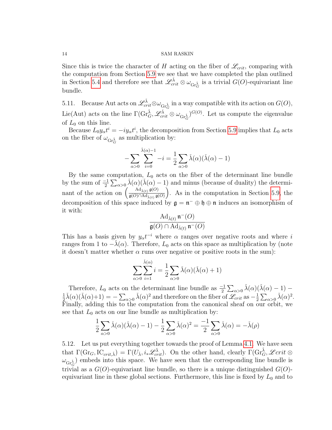Since this is twice the character of H acting on the fiber of  $\mathscr{L}_{crit}$ , comparing with the computation from Section [5.9](#page-12-0) we see that we have completed the plan outlined in Section [5.4](#page-11-1) and therefore see that  $\mathscr{L}_{crit}^{\lambda} \otimes \omega_{\text{Gr}_G^{\lambda}}$  is a trivial  $G(O)$ -equivariant line bundle.

5.11. Because Aut acts on  $\mathscr{L}_{crit}^{\lambda} \otimes \omega_{\text{Gr}\lambda}$  in a way compatible with its action on  $G(O)$ , Lie(Aut) acts on the line  $\Gamma(\text{Gr}_{G}^{\check{\lambda}}, \mathscr{L}_{crit}^{\check{\lambda}} \otimes \omega_{\text{Gr}_{G}^{\check{\lambda}}})^{G(O)}$ . Let us compute the eigenvalue of  $L_0$  on this line.

Because  $L_0 y_\alpha t^i = -i y_\alpha t^i$ , the decomposition from Section [5.9](#page-12-0) implies that  $L_0$  acts on the fiber of  $\omega_{\text{Gr}_G^{\check{\lambda}}}$  as multiplication by:

$$
-\sum_{\alpha>0}\sum_{i=0}^{\check\lambda(\alpha)-1}-i=\frac{1}{2}\sum_{\alpha>0}\check\lambda(\alpha)(\check\lambda(\alpha)-1)
$$

By the same computation,  $L_0$  acts on the fiber of the determinant line bundle by the sum of  $\frac{-1}{2} \sum_{\alpha>0} \tilde{\lambda}(\alpha)(\tilde{\lambda}(\alpha)-1)$  and minus (because of duality) the determinant of the action on  $\begin{pmatrix} \text{Ad}_{\lambda(t)} \mathfrak{g}(0) \\ \frac{\sigma(t)\cap \text{Ad}_{\lambda(t)} \mathfrak{g}(0)}{\sigma(t)} \end{pmatrix}$  $\frac{\text{Ad}_{\tilde{\lambda}(t)} \mathfrak{g}(0)}{\mathfrak{g}(0) \cap \text{Ad}_{\tilde{\lambda}(t)} \mathfrak{g}(0)}$ . As in the computation in Section [5.9,](#page-12-0) the decomposition of this space induced by  $\mathfrak{g} = \mathfrak{n}^- \oplus \mathfrak{h} \oplus \mathfrak{n}$  induces an isomorphism of it with:

$$
\frac{\operatorname{Ad}_{\check{\lambda}(t)}\mathfrak{n}^-(O)}{\mathfrak{g}(O)\cap \operatorname{Ad}_{\check{\lambda}(t)}\mathfrak{n}^-(O)}
$$

This has a basis given by  $y_{\alpha}t^{-i}$  where  $\alpha$  ranges over negative roots and where i ranges from 1 to  $-\lambda(\alpha)$ . Therefore,  $L_0$  acts on this space as multiplication by (note it doesn't matter whether  $\alpha$  runs over negative or positive roots in the sum):

$$
\sum_{\alpha>0} \sum_{i=1}^{\check{\lambda}(\alpha)} i = \frac{1}{2} \sum_{\alpha>0} \check{\lambda}(\alpha)(\check{\lambda}(\alpha) + 1)
$$

Therefore,  $L_0$  acts on the determinant line bundle as  $\frac{-1}{2} \sum_{\alpha>0} \tilde{\lambda}(\alpha)(\tilde{\lambda}(\alpha) - 1)$  – 1  $\frac{1}{2}\check{\lambda}(\alpha)(\check{\lambda}(\alpha)+1)=-\sum_{\alpha>0}\check{\lambda}(\alpha)^2$  and therefore on the fiber of  $\mathscr{L}_{crit}$  as  $-\frac{1}{2}$  $\frac{1}{2} \sum_{\alpha > 0} \check{\lambda}(\alpha)^2$ . Finally, adding this to the computation from the canonical sheaf on our orbit, we see that  $L_0$  acts on our line bundle as multiplication by:

$$
\frac{1}{2}\sum_{\alpha>0}\check{\lambda}(\alpha)(\check{\lambda}(\alpha)-1)-\frac{1}{2}\sum_{\alpha>0}\check{\lambda}(\alpha)^2=\frac{-1}{2}\sum_{\alpha>0}\check{\lambda}(\alpha)=-\check{\lambda}(\rho)
$$

5.12. Let us put everything together towards the proof of Lemma [4.1.](#page-9-0) We have seen that  $\Gamma(\text{Gr}_G, \text{IC}_{crit,\tilde{\lambda}}) = \Gamma(U_{\tilde{\lambda}}, i_* \mathscr{L}_{crit}^{\tilde{\lambda}})$ . On the other hand, clearly  $\Gamma(\text{Gr}_{G}^{\tilde{\lambda}}, \mathscr{L}crit \otimes$  $\omega_{\text{Gr}\alpha}^{\lambda}$  embeds into this space. We have seen that the corresponding line bundle is trivial as a  $G(O)$ -equivariant line bundle, so there is a unique distinguished  $G(O)$ equivariant line in these global sections. Furthermore, this line is fixed by  $L_0$  and to